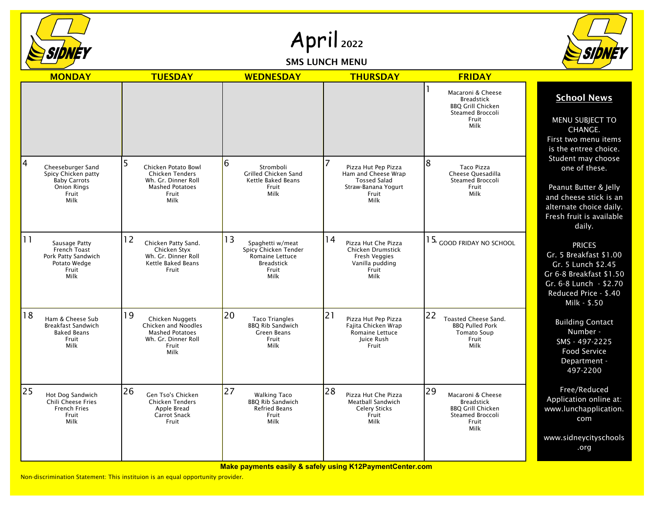

April 2022

SMS LUNCH MENU



|    | <b>MONDAY</b>                                                                                          | <b>TUESDAY</b>                                                                                                  | <b>WEDNESDAY</b>                                                                                               | <b>THURSDAY</b>                                                                                                   | <b>FRIDAY</b>                                                                                                 |                                                                                                                                                             |
|----|--------------------------------------------------------------------------------------------------------|-----------------------------------------------------------------------------------------------------------------|----------------------------------------------------------------------------------------------------------------|-------------------------------------------------------------------------------------------------------------------|---------------------------------------------------------------------------------------------------------------|-------------------------------------------------------------------------------------------------------------------------------------------------------------|
|    |                                                                                                        |                                                                                                                 |                                                                                                                |                                                                                                                   | Macaroni & Cheese<br><b>Breadstick</b><br><b>BBO Grill Chicken</b><br>Steamed Broccoli<br>Fruit<br>Milk       | <b>School News</b><br><b>MENU SUBJECT TO</b><br>CHANGE.<br>First two menu items<br>is the entree choice.                                                    |
| 4  | Cheeseburger Sand<br>Spicy Chicken patty<br><b>Baby Carrots</b><br><b>Onion Rings</b><br>Fruit<br>Milk | Chicken Potato Bowl<br><b>Chicken Tenders</b><br>Wh. Gr. Dinner Roll<br><b>Mashed Potatoes</b><br>Fruit<br>Milk | 6<br>Stromboli<br>Grilled Chicken Sand<br>Kettle Baked Beans<br>Fruit<br>Milk                                  | Pizza Hut Pep Pizza<br>Ham and Cheese Wrap<br><b>Tossed Salad</b><br>Straw-Banana Yogurt<br>Fruit<br>Milk         | 8<br>Taco Pizza<br>Cheese Quesadilla<br><b>Steamed Broccoli</b><br>Fruit<br>Milk                              | Student may choose<br>one of these.<br>Peanut Butter & Jelly<br>and cheese stick is an<br>alternate choice daily.<br>Fresh fruit is available<br>daily.     |
| 11 | Sausage Patty<br>French Toast<br>Pork Patty Sandwich<br>Potato Wedge<br>Fruit<br>Milk                  | 12<br>Chicken Patty Sand.<br>Chicken Styx<br>Wh. Gr. Dinner Roll<br>Kettle Baked Beans<br>Fruit                 | 13<br>Spaghetti w/meat<br>Spicy Chicken Tender<br>Romaine Lettuce<br><b>Breadstick</b><br>Fruit<br><b>Milk</b> | 14<br>Pizza Hut Che Pizza<br>Chicken Drumstick<br><b>Fresh Veggies</b><br>Vanilla pudding<br>Fruit<br><b>Milk</b> | $1$ $5_{\!\scriptscriptstyle \times}$ $_{\scriptscriptstyle \rm GOOD}$ friday no school                       | <b>PRICES</b><br>Gr. 5 Breakfast \$1.00<br>Gr. 5 Lunch \$2.45<br>Gr 6-8 Breakfast \$1.50<br>Gr. 6-8 Lunch - \$2.70<br>Reduced Price - \$.40<br>Milk - \$.50 |
| 18 | Ham & Cheese Sub<br><b>Breakfast Sandwich</b><br><b>Baked Beans</b><br>Fruit<br>Milk                   | 19<br>Chicken Nuggets<br>Chicken and Noodles<br><b>Mashed Potatoes</b><br>Wh. Gr. Dinner Roll<br>Fruit<br>Milk  | 20<br><b>Taco Triangles</b><br><b>BBO Rib Sandwich</b><br><b>Green Beans</b><br>Fruit<br>Milk                  | $\overline{21}$<br>Pizza Hut Pep Pizza<br>Fajita Chicken Wrap<br>Romaine Lettuce<br>Juice Rush<br>Fruit           | 22<br><b>Toasted Cheese Sand.</b><br><b>BBO Pulled Pork</b><br><b>Tomato Soup</b><br>Fruit<br>Milk            | <b>Building Contact</b><br>Number -<br>SMS - 497-2225<br><b>Food Service</b><br>Department -<br>497-2200                                                    |
| 25 | Hot Dog Sandwich<br><b>Chili Cheese Fries</b><br><b>French Fries</b><br>Fruit<br>Milk                  | 26<br>Gen Tso's Chicken<br><b>Chicken Tenders</b><br>Apple Bread<br><b>Carrot Snack</b><br>Fruit                | 27<br><b>Walking Taco</b><br><b>BBQ Rib Sandwich</b><br><b>Refried Beans</b><br>Fruit<br>Milk                  | 28<br>Pizza Hut Che Pizza<br>Meatball Sandwich<br><b>Celery Sticks</b><br>Fruit<br>Milk                           | 29<br>Macaroni & Cheese<br><b>Breadstick</b><br><b>BBQ Grill Chicken</b><br>Steamed Broccoli<br>Fruit<br>Milk | Free/Reduced<br>Application online at:<br>www.lunchapplication.<br>com<br>www.sidneycityschools<br>.org                                                     |

**Make payments easily & safely using K12PaymentCenter.com**

Non-discrimination Statement: This instituion is an equal opportunity provider.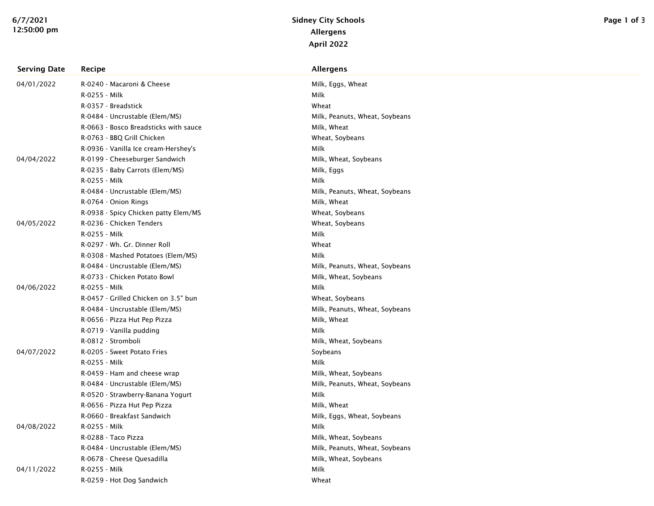| <b>Serving Date</b> | Recipe                                | <b>Allergens</b>               |
|---------------------|---------------------------------------|--------------------------------|
| 04/01/2022          | R-0240 - Macaroni & Cheese            | Milk, Eggs, Wheat              |
|                     | R-0255 - Milk                         | Milk                           |
|                     | R-0357 - Breadstick                   | Wheat                          |
|                     | R-0484 - Uncrustable (Elem/MS)        | Milk, Peanuts, Wheat, Soybeans |
|                     | R-0663 - Bosco Breadsticks with sauce | Milk, Wheat                    |
|                     | R-0763 - BBQ Grill Chicken            | Wheat, Soybeans                |
|                     | R-0936 - Vanilla Ice cream-Hershey's  | Milk                           |
| 04/04/2022          | R-0199 - Cheeseburger Sandwich        | Milk, Wheat, Soybeans          |
|                     | R-0235 - Baby Carrots (Elem/MS)       | Milk, Eggs                     |
|                     | R-0255 - Milk                         | Milk                           |
|                     | R-0484 - Uncrustable (Elem/MS)        | Milk, Peanuts, Wheat, Soybeans |
|                     | R-0764 - Onion Rings                  | Milk, Wheat                    |
|                     | R-0938 - Spicy Chicken patty Elem/MS  | Wheat, Soybeans                |
| 04/05/2022          | R-0236 - Chicken Tenders              | Wheat, Soybeans                |
|                     | R-0255 - Milk                         | Milk                           |
|                     | R-0297 - Wh. Gr. Dinner Roll          | Wheat                          |
|                     | R-0308 - Mashed Potatoes (Elem/MS)    | Milk                           |
|                     | R-0484 - Uncrustable (Elem/MS)        | Milk, Peanuts, Wheat, Soybeans |
|                     | R-0733 - Chicken Potato Bowl          | Milk, Wheat, Soybeans          |
| 04/06/2022          | R-0255 - Milk                         | Milk                           |
|                     | R-0457 - Grilled Chicken on 3.5" bun  | Wheat, Soybeans                |
|                     | R-0484 - Uncrustable (Elem/MS)        | Milk, Peanuts, Wheat, Soybeans |
|                     | R-0656 - Pizza Hut Pep Pizza          | Milk, Wheat                    |
|                     | R-0719 - Vanilla pudding              | Milk                           |
|                     | R-0812 - Stromboli                    | Milk, Wheat, Soybeans          |
| 04/07/2022          | R-0205 - Sweet Potato Fries           | Soybeans                       |
|                     | R-0255 - Milk                         | Milk                           |
|                     | R-0459 - Ham and cheese wrap          | Milk, Wheat, Soybeans          |
|                     | R-0484 - Uncrustable (Elem/MS)        | Milk, Peanuts, Wheat, Soybeans |
|                     | R-0520 - Strawberry-Banana Yogurt     | Milk                           |
|                     | R-0656 - Pizza Hut Pep Pizza          | Milk, Wheat                    |
|                     | R-0660 - Breakfast Sandwich           | Milk, Eggs, Wheat, Soybeans    |
| 04/08/2022          | R-0255 - Milk                         | Milk                           |
|                     | R-0288 - Taco Pizza                   | Milk, Wheat, Soybeans          |
|                     | R-0484 - Uncrustable (Elem/MS)        | Milk, Peanuts, Wheat, Soybeans |
|                     | R-0678 - Cheese Quesadilla            | Milk, Wheat, Soybeans          |
| 04/11/2022          | R-0255 - Milk                         | Milk                           |
|                     | R-0259 - Hot Dog Sandwich             | Wheat                          |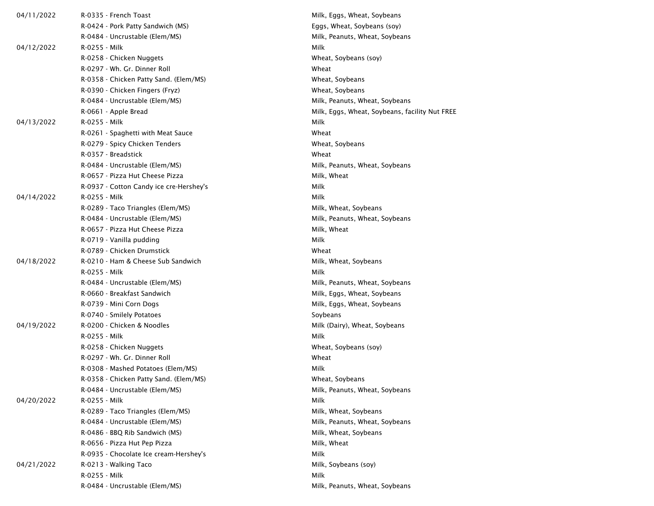| 04/11/2022 | R-0335 - French Toast                   | Milk, Eggs, Wheat, Soybeans                    |
|------------|-----------------------------------------|------------------------------------------------|
|            | R-0424 - Pork Patty Sandwich (MS)       | Eggs, Wheat, Soybeans (soy)                    |
|            | R-0484 - Uncrustable (Elem/MS)          | Milk, Peanuts, Wheat, Soybeans                 |
| 04/12/2022 | R-0255 - Milk                           | Milk                                           |
|            | R-0258 - Chicken Nuggets                | Wheat, Soybeans (soy)                          |
|            | R-0297 - Wh. Gr. Dinner Roll            | Wheat                                          |
|            | R-0358 - Chicken Patty Sand. (Elem/MS)  | Wheat, Soybeans                                |
|            | R-0390 - Chicken Fingers (Fryz)         | Wheat, Soybeans                                |
|            | R-0484 - Uncrustable (Elem/MS)          | Milk, Peanuts, Wheat, Soybeans                 |
|            | R-0661 - Apple Bread                    | Milk, Eggs, Wheat, Soybeans, facility Nut FREE |
| 04/13/2022 | R-0255 - Milk                           | Milk                                           |
|            | R-0261 - Spaghetti with Meat Sauce      | Wheat                                          |
|            | R-0279 - Spicy Chicken Tenders          | Wheat, Soybeans                                |
|            | R-0357 - Breadstick                     | Wheat                                          |
|            | R-0484 - Uncrustable (Elem/MS)          | Milk, Peanuts, Wheat, Soybeans                 |
|            | R-0657 - Pizza Hut Cheese Pizza         | Milk, Wheat                                    |
|            | R-0937 - Cotton Candy ice cre-Hershey's | Milk                                           |
| 04/14/2022 | R-0255 - Milk                           | Milk                                           |
|            | R-0289 - Taco Triangles (Elem/MS)       | Milk, Wheat, Soybeans                          |
|            | R-0484 - Uncrustable (Elem/MS)          | Milk, Peanuts, Wheat, Soybeans                 |
|            | R-0657 - Pizza Hut Cheese Pizza         | Milk, Wheat                                    |
|            | R-0719 - Vanilla pudding                | Milk                                           |
|            | R-0789 - Chicken Drumstick              | Wheat                                          |
| 04/18/2022 | R-0210 - Ham & Cheese Sub Sandwich      | Milk, Wheat, Soybeans                          |
|            | R-0255 - Milk                           | Milk                                           |
|            | R-0484 - Uncrustable (Elem/MS)          | Milk, Peanuts, Wheat, Soybeans                 |
|            | R-0660 - Breakfast Sandwich             | Milk, Eggs, Wheat, Soybeans                    |
|            | R-0739 - Mini Corn Dogs                 | Milk, Eggs, Wheat, Soybeans                    |
|            | R-0740 - Smilely Potatoes               | Soybeans                                       |
| 04/19/2022 | R-0200 - Chicken & Noodles              | Milk (Dairy), Wheat, Soybeans                  |
|            | R-0255 - Milk                           | Milk                                           |
|            | R-0258 - Chicken Nuggets                | Wheat, Soybeans (soy)                          |
|            | R-0297 - Wh. Gr. Dinner Roll            | Wheat                                          |
|            | R-0308 - Mashed Potatoes (Elem/MS)      | Milk                                           |
|            | R-0358 - Chicken Patty Sand. (Elem/MS)  | Wheat, Soybeans                                |
|            | R-0484 - Uncrustable (Elem/MS)          | Milk, Peanuts, Wheat, Soybeans                 |
| 04/20/2022 | R-0255 - Milk                           | Milk                                           |
|            | R-0289 - Taco Triangles (Elem/MS)       | Milk, Wheat, Soybeans                          |
|            | R-0484 - Uncrustable (Elem/MS)          | Milk, Peanuts, Wheat, Soybeans                 |
|            | R-0486 - BBQ Rib Sandwich (MS)          | Milk, Wheat, Soybeans                          |
|            | R-0656 - Pizza Hut Pep Pizza            | Milk, Wheat                                    |
|            | R-0935 - Chocolate Ice cream-Hershey's  | Milk                                           |
| 04/21/2022 | R-0213 - Walking Taco                   | Milk, Soybeans (soy)                           |
|            | R-0255 - Milk                           | Milk                                           |
|            | R-0484 - Uncrustable (Elem/MS)          | Milk, Peanuts, Wheat, Soybeans                 |